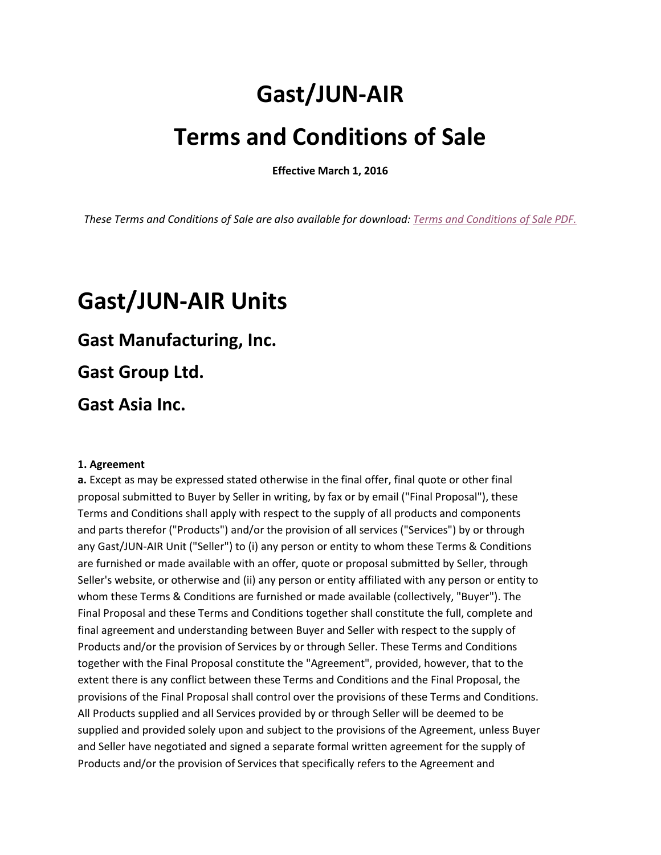# **Gast/JUN-AIR**

# **Terms and Conditions of Sale**

**Effective March 1, 2016**

*These Terms and Conditions of Sale are also available for download: [Terms and Conditions of Sale PDF.](https://gastmfg.com/terms-of-use)*

# **Gast/JUN-AIR Units**

# **Gast Manufacturing, Inc.**

**Gast Group Ltd.**

**Gast Asia Inc.** 

# **1. Agreement**

**a.** Except as may be expressed stated otherwise in the final offer, final quote or other final proposal submitted to Buyer by Seller in writing, by fax or by email ("Final Proposal"), these Terms and Conditions shall apply with respect to the supply of all products and components and parts therefor ("Products") and/or the provision of all services ("Services") by or through any Gast/JUN-AIR Unit ("Seller") to (i) any person or entity to whom these Terms & Conditions are furnished or made available with an offer, quote or proposal submitted by Seller, through Seller's website, or otherwise and (ii) any person or entity affiliated with any person or entity to whom these Terms & Conditions are furnished or made available (collectively, "Buyer"). The Final Proposal and these Terms and Conditions together shall constitute the full, complete and final agreement and understanding between Buyer and Seller with respect to the supply of Products and/or the provision of Services by or through Seller. These Terms and Conditions together with the Final Proposal constitute the "Agreement", provided, however, that to the extent there is any conflict between these Terms and Conditions and the Final Proposal, the provisions of the Final Proposal shall control over the provisions of these Terms and Conditions. All Products supplied and all Services provided by or through Seller will be deemed to be supplied and provided solely upon and subject to the provisions of the Agreement, unless Buyer and Seller have negotiated and signed a separate formal written agreement for the supply of Products and/or the provision of Services that specifically refers to the Agreement and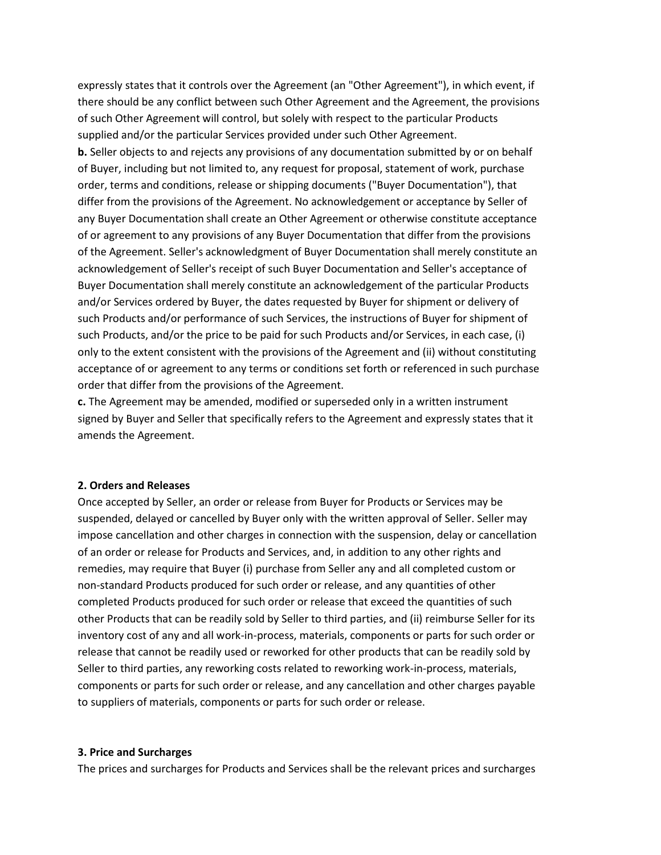expressly states that it controls over the Agreement (an "Other Agreement"), in which event, if there should be any conflict between such Other Agreement and the Agreement, the provisions of such Other Agreement will control, but solely with respect to the particular Products supplied and/or the particular Services provided under such Other Agreement.

**b.** Seller objects to and rejects any provisions of any documentation submitted by or on behalf of Buyer, including but not limited to, any request for proposal, statement of work, purchase order, terms and conditions, release or shipping documents ("Buyer Documentation"), that differ from the provisions of the Agreement. No acknowledgement or acceptance by Seller of any Buyer Documentation shall create an Other Agreement or otherwise constitute acceptance of or agreement to any provisions of any Buyer Documentation that differ from the provisions of the Agreement. Seller's acknowledgment of Buyer Documentation shall merely constitute an acknowledgement of Seller's receipt of such Buyer Documentation and Seller's acceptance of Buyer Documentation shall merely constitute an acknowledgement of the particular Products and/or Services ordered by Buyer, the dates requested by Buyer for shipment or delivery of such Products and/or performance of such Services, the instructions of Buyer for shipment of such Products, and/or the price to be paid for such Products and/or Services, in each case, (i) only to the extent consistent with the provisions of the Agreement and (ii) without constituting acceptance of or agreement to any terms or conditions set forth or referenced in such purchase order that differ from the provisions of the Agreement.

**c.** The Agreement may be amended, modified or superseded only in a written instrument signed by Buyer and Seller that specifically refers to the Agreement and expressly states that it amends the Agreement.

#### **2. Orders and Releases**

Once accepted by Seller, an order or release from Buyer for Products or Services may be suspended, delayed or cancelled by Buyer only with the written approval of Seller. Seller may impose cancellation and other charges in connection with the suspension, delay or cancellation of an order or release for Products and Services, and, in addition to any other rights and remedies, may require that Buyer (i) purchase from Seller any and all completed custom or non-standard Products produced for such order or release, and any quantities of other completed Products produced for such order or release that exceed the quantities of such other Products that can be readily sold by Seller to third parties, and (ii) reimburse Seller for its inventory cost of any and all work-in-process, materials, components or parts for such order or release that cannot be readily used or reworked for other products that can be readily sold by Seller to third parties, any reworking costs related to reworking work-in-process, materials, components or parts for such order or release, and any cancellation and other charges payable to suppliers of materials, components or parts for such order or release.

#### **3. Price and Surcharges**

The prices and surcharges for Products and Services shall be the relevant prices and surcharges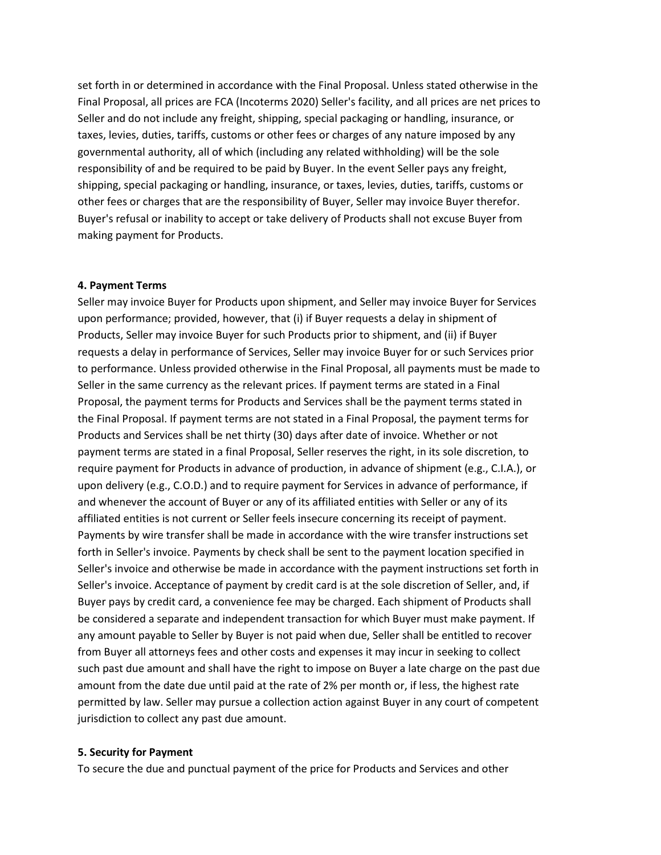set forth in or determined in accordance with the Final Proposal. Unless stated otherwise in the Final Proposal, all prices are FCA (Incoterms 2020) Seller's facility, and all prices are net prices to Seller and do not include any freight, shipping, special packaging or handling, insurance, or taxes, levies, duties, tariffs, customs or other fees or charges of any nature imposed by any governmental authority, all of which (including any related withholding) will be the sole responsibility of and be required to be paid by Buyer. In the event Seller pays any freight, shipping, special packaging or handling, insurance, or taxes, levies, duties, tariffs, customs or other fees or charges that are the responsibility of Buyer, Seller may invoice Buyer therefor. Buyer's refusal or inability to accept or take delivery of Products shall not excuse Buyer from making payment for Products.

#### **4. Payment Terms**

Seller may invoice Buyer for Products upon shipment, and Seller may invoice Buyer for Services upon performance; provided, however, that (i) if Buyer requests a delay in shipment of Products, Seller may invoice Buyer for such Products prior to shipment, and (ii) if Buyer requests a delay in performance of Services, Seller may invoice Buyer for or such Services prior to performance. Unless provided otherwise in the Final Proposal, all payments must be made to Seller in the same currency as the relevant prices. If payment terms are stated in a Final Proposal, the payment terms for Products and Services shall be the payment terms stated in the Final Proposal. If payment terms are not stated in a Final Proposal, the payment terms for Products and Services shall be net thirty (30) days after date of invoice. Whether or not payment terms are stated in a final Proposal, Seller reserves the right, in its sole discretion, to require payment for Products in advance of production, in advance of shipment (e.g., C.I.A.), or upon delivery (e.g., C.O.D.) and to require payment for Services in advance of performance, if and whenever the account of Buyer or any of its affiliated entities with Seller or any of its affiliated entities is not current or Seller feels insecure concerning its receipt of payment. Payments by wire transfer shall be made in accordance with the wire transfer instructions set forth in Seller's invoice. Payments by check shall be sent to the payment location specified in Seller's invoice and otherwise be made in accordance with the payment instructions set forth in Seller's invoice. Acceptance of payment by credit card is at the sole discretion of Seller, and, if Buyer pays by credit card, a convenience fee may be charged. Each shipment of Products shall be considered a separate and independent transaction for which Buyer must make payment. If any amount payable to Seller by Buyer is not paid when due, Seller shall be entitled to recover from Buyer all attorneys fees and other costs and expenses it may incur in seeking to collect such past due amount and shall have the right to impose on Buyer a late charge on the past due amount from the date due until paid at the rate of 2% per month or, if less, the highest rate permitted by law. Seller may pursue a collection action against Buyer in any court of competent jurisdiction to collect any past due amount.

#### **5. Security for Payment**

To secure the due and punctual payment of the price for Products and Services and other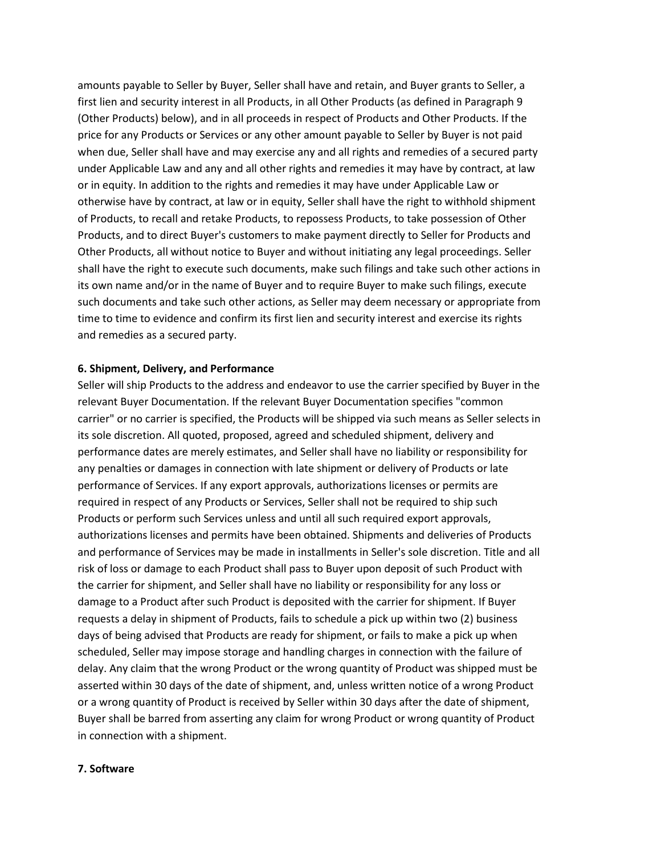amounts payable to Seller by Buyer, Seller shall have and retain, and Buyer grants to Seller, a first lien and security interest in all Products, in all Other Products (as defined in Paragraph 9 (Other Products) below), and in all proceeds in respect of Products and Other Products. If the price for any Products or Services or any other amount payable to Seller by Buyer is not paid when due, Seller shall have and may exercise any and all rights and remedies of a secured party under Applicable Law and any and all other rights and remedies it may have by contract, at law or in equity. In addition to the rights and remedies it may have under Applicable Law or otherwise have by contract, at law or in equity, Seller shall have the right to withhold shipment of Products, to recall and retake Products, to repossess Products, to take possession of Other Products, and to direct Buyer's customers to make payment directly to Seller for Products and Other Products, all without notice to Buyer and without initiating any legal proceedings. Seller shall have the right to execute such documents, make such filings and take such other actions in its own name and/or in the name of Buyer and to require Buyer to make such filings, execute such documents and take such other actions, as Seller may deem necessary or appropriate from time to time to evidence and confirm its first lien and security interest and exercise its rights and remedies as a secured party.

#### **6. Shipment, Delivery, and Performance**

Seller will ship Products to the address and endeavor to use the carrier specified by Buyer in the relevant Buyer Documentation. If the relevant Buyer Documentation specifies "common carrier" or no carrier is specified, the Products will be shipped via such means as Seller selects in its sole discretion. All quoted, proposed, agreed and scheduled shipment, delivery and performance dates are merely estimates, and Seller shall have no liability or responsibility for any penalties or damages in connection with late shipment or delivery of Products or late performance of Services. If any export approvals, authorizations licenses or permits are required in respect of any Products or Services, Seller shall not be required to ship such Products or perform such Services unless and until all such required export approvals, authorizations licenses and permits have been obtained. Shipments and deliveries of Products and performance of Services may be made in installments in Seller's sole discretion. Title and all risk of loss or damage to each Product shall pass to Buyer upon deposit of such Product with the carrier for shipment, and Seller shall have no liability or responsibility for any loss or damage to a Product after such Product is deposited with the carrier for shipment. If Buyer requests a delay in shipment of Products, fails to schedule a pick up within two (2) business days of being advised that Products are ready for shipment, or fails to make a pick up when scheduled, Seller may impose storage and handling charges in connection with the failure of delay. Any claim that the wrong Product or the wrong quantity of Product was shipped must be asserted within 30 days of the date of shipment, and, unless written notice of a wrong Product or a wrong quantity of Product is received by Seller within 30 days after the date of shipment, Buyer shall be barred from asserting any claim for wrong Product or wrong quantity of Product in connection with a shipment.

#### **7. Software**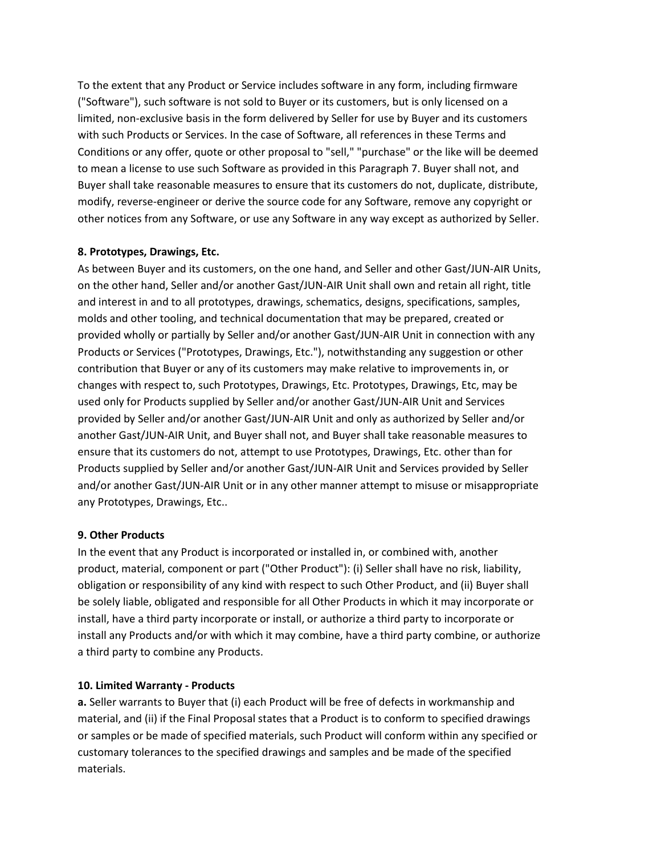To the extent that any Product or Service includes software in any form, including firmware ("Software"), such software is not sold to Buyer or its customers, but is only licensed on a limited, non-exclusive basis in the form delivered by Seller for use by Buyer and its customers with such Products or Services. In the case of Software, all references in these Terms and Conditions or any offer, quote or other proposal to "sell," "purchase" or the like will be deemed to mean a license to use such Software as provided in this Paragraph 7. Buyer shall not, and Buyer shall take reasonable measures to ensure that its customers do not, duplicate, distribute, modify, reverse-engineer or derive the source code for any Software, remove any copyright or other notices from any Software, or use any Software in any way except as authorized by Seller.

# **8. Prototypes, Drawings, Etc.**

As between Buyer and its customers, on the one hand, and Seller and other Gast/JUN-AIR Units, on the other hand, Seller and/or another Gast/JUN-AIR Unit shall own and retain all right, title and interest in and to all prototypes, drawings, schematics, designs, specifications, samples, molds and other tooling, and technical documentation that may be prepared, created or provided wholly or partially by Seller and/or another Gast/JUN-AIR Unit in connection with any Products or Services ("Prototypes, Drawings, Etc."), notwithstanding any suggestion or other contribution that Buyer or any of its customers may make relative to improvements in, or changes with respect to, such Prototypes, Drawings, Etc. Prototypes, Drawings, Etc, may be used only for Products supplied by Seller and/or another Gast/JUN-AIR Unit and Services provided by Seller and/or another Gast/JUN-AIR Unit and only as authorized by Seller and/or another Gast/JUN-AIR Unit, and Buyer shall not, and Buyer shall take reasonable measures to ensure that its customers do not, attempt to use Prototypes, Drawings, Etc. other than for Products supplied by Seller and/or another Gast/JUN-AIR Unit and Services provided by Seller and/or another Gast/JUN-AIR Unit or in any other manner attempt to misuse or misappropriate any Prototypes, Drawings, Etc..

#### **9. Other Products**

In the event that any Product is incorporated or installed in, or combined with, another product, material, component or part ("Other Product"): (i) Seller shall have no risk, liability, obligation or responsibility of any kind with respect to such Other Product, and (ii) Buyer shall be solely liable, obligated and responsible for all Other Products in which it may incorporate or install, have a third party incorporate or install, or authorize a third party to incorporate or install any Products and/or with which it may combine, have a third party combine, or authorize a third party to combine any Products.

# **10. Limited Warranty - Products**

**a.** Seller warrants to Buyer that (i) each Product will be free of defects in workmanship and material, and (ii) if the Final Proposal states that a Product is to conform to specified drawings or samples or be made of specified materials, such Product will conform within any specified or customary tolerances to the specified drawings and samples and be made of the specified materials.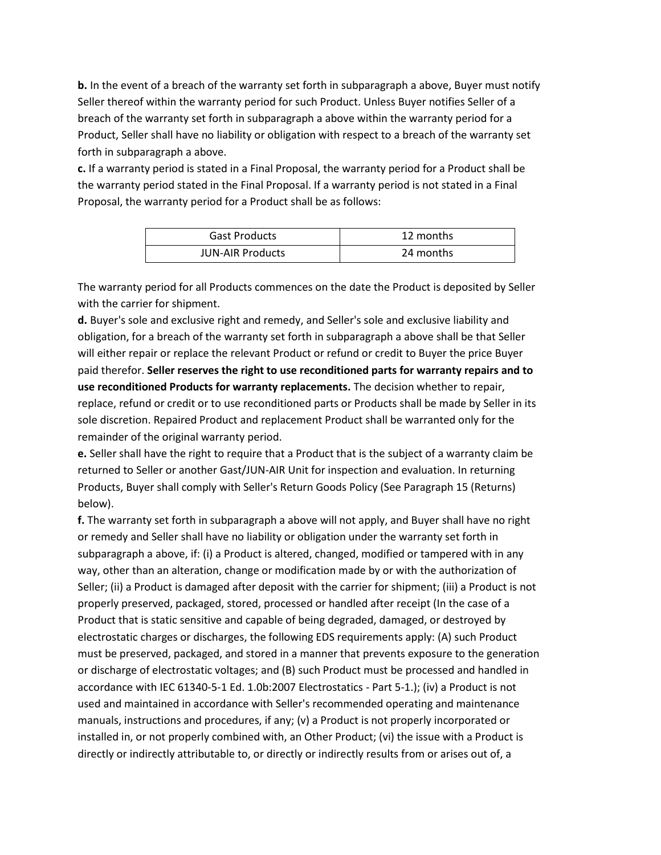**b.** In the event of a breach of the warranty set forth in subparagraph a above, Buyer must notify Seller thereof within the warranty period for such Product. Unless Buyer notifies Seller of a breach of the warranty set forth in subparagraph a above within the warranty period for a Product, Seller shall have no liability or obligation with respect to a breach of the warranty set forth in subparagraph a above.

**c.** If a warranty period is stated in a Final Proposal, the warranty period for a Product shall be the warranty period stated in the Final Proposal. If a warranty period is not stated in a Final Proposal, the warranty period for a Product shall be as follows:

| <b>Gast Products</b>    | 12 months |
|-------------------------|-----------|
| <b>JUN-AIR Products</b> | 24 months |

The warranty period for all Products commences on the date the Product is deposited by Seller with the carrier for shipment.

**d.** Buyer's sole and exclusive right and remedy, and Seller's sole and exclusive liability and obligation, for a breach of the warranty set forth in subparagraph a above shall be that Seller will either repair or replace the relevant Product or refund or credit to Buyer the price Buyer paid therefor. **Seller reserves the right to use reconditioned parts for warranty repairs and to use reconditioned Products for warranty replacements.** The decision whether to repair, replace, refund or credit or to use reconditioned parts or Products shall be made by Seller in its sole discretion. Repaired Product and replacement Product shall be warranted only for the remainder of the original warranty period.

**e.** Seller shall have the right to require that a Product that is the subject of a warranty claim be returned to Seller or another Gast/JUN-AIR Unit for inspection and evaluation. In returning Products, Buyer shall comply with Seller's Return Goods Policy (See Paragraph 15 (Returns) below).

**f.** The warranty set forth in subparagraph a above will not apply, and Buyer shall have no right or remedy and Seller shall have no liability or obligation under the warranty set forth in subparagraph a above, if: (i) a Product is altered, changed, modified or tampered with in any way, other than an alteration, change or modification made by or with the authorization of Seller; (ii) a Product is damaged after deposit with the carrier for shipment; (iii) a Product is not properly preserved, packaged, stored, processed or handled after receipt (In the case of a Product that is static sensitive and capable of being degraded, damaged, or destroyed by electrostatic charges or discharges, the following EDS requirements apply: (A) such Product must be preserved, packaged, and stored in a manner that prevents exposure to the generation or discharge of electrostatic voltages; and (B) such Product must be processed and handled in accordance with IEC 61340-5-1 Ed. 1.0b:2007 Electrostatics - Part 5-1.); (iv) a Product is not used and maintained in accordance with Seller's recommended operating and maintenance manuals, instructions and procedures, if any; (v) a Product is not properly incorporated or installed in, or not properly combined with, an Other Product; (vi) the issue with a Product is directly or indirectly attributable to, or directly or indirectly results from or arises out of, a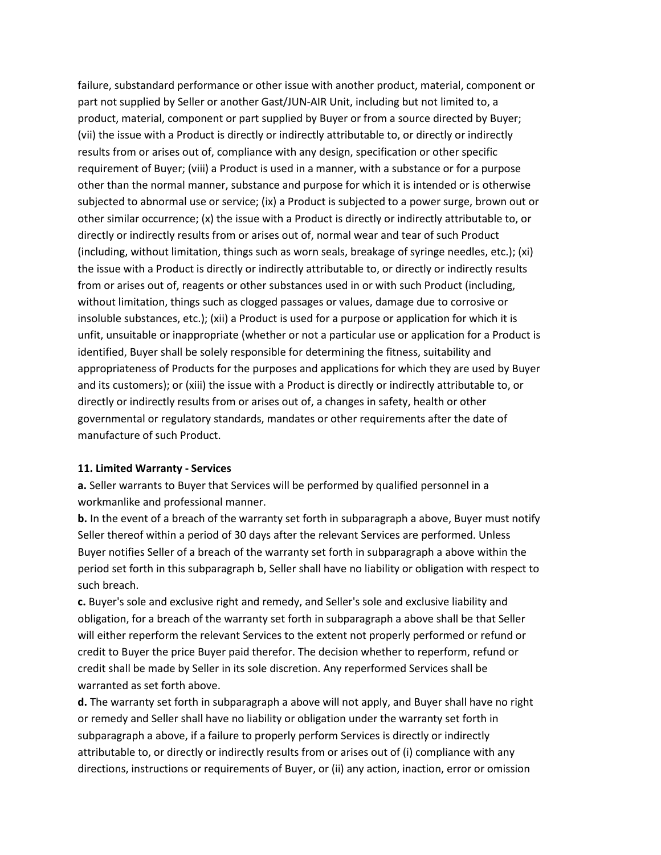failure, substandard performance or other issue with another product, material, component or part not supplied by Seller or another Gast/JUN-AIR Unit, including but not limited to, a product, material, component or part supplied by Buyer or from a source directed by Buyer; (vii) the issue with a Product is directly or indirectly attributable to, or directly or indirectly results from or arises out of, compliance with any design, specification or other specific requirement of Buyer; (viii) a Product is used in a manner, with a substance or for a purpose other than the normal manner, substance and purpose for which it is intended or is otherwise subjected to abnormal use or service; (ix) a Product is subjected to a power surge, brown out or other similar occurrence; (x) the issue with a Product is directly or indirectly attributable to, or directly or indirectly results from or arises out of, normal wear and tear of such Product (including, without limitation, things such as worn seals, breakage of syringe needles, etc.); (xi) the issue with a Product is directly or indirectly attributable to, or directly or indirectly results from or arises out of, reagents or other substances used in or with such Product (including, without limitation, things such as clogged passages or values, damage due to corrosive or insoluble substances, etc.); (xii) a Product is used for a purpose or application for which it is unfit, unsuitable or inappropriate (whether or not a particular use or application for a Product is identified, Buyer shall be solely responsible for determining the fitness, suitability and appropriateness of Products for the purposes and applications for which they are used by Buyer and its customers); or (xiii) the issue with a Product is directly or indirectly attributable to, or directly or indirectly results from or arises out of, a changes in safety, health or other governmental or regulatory standards, mandates or other requirements after the date of manufacture of such Product.

#### **11. Limited Warranty - Services**

**a.** Seller warrants to Buyer that Services will be performed by qualified personnel in a workmanlike and professional manner.

**b.** In the event of a breach of the warranty set forth in subparagraph a above, Buyer must notify Seller thereof within a period of 30 days after the relevant Services are performed. Unless Buyer notifies Seller of a breach of the warranty set forth in subparagraph a above within the period set forth in this subparagraph b, Seller shall have no liability or obligation with respect to such breach.

**c.** Buyer's sole and exclusive right and remedy, and Seller's sole and exclusive liability and obligation, for a breach of the warranty set forth in subparagraph a above shall be that Seller will either reperform the relevant Services to the extent not properly performed or refund or credit to Buyer the price Buyer paid therefor. The decision whether to reperform, refund or credit shall be made by Seller in its sole discretion. Any reperformed Services shall be warranted as set forth above.

**d.** The warranty set forth in subparagraph a above will not apply, and Buyer shall have no right or remedy and Seller shall have no liability or obligation under the warranty set forth in subparagraph a above, if a failure to properly perform Services is directly or indirectly attributable to, or directly or indirectly results from or arises out of (i) compliance with any directions, instructions or requirements of Buyer, or (ii) any action, inaction, error or omission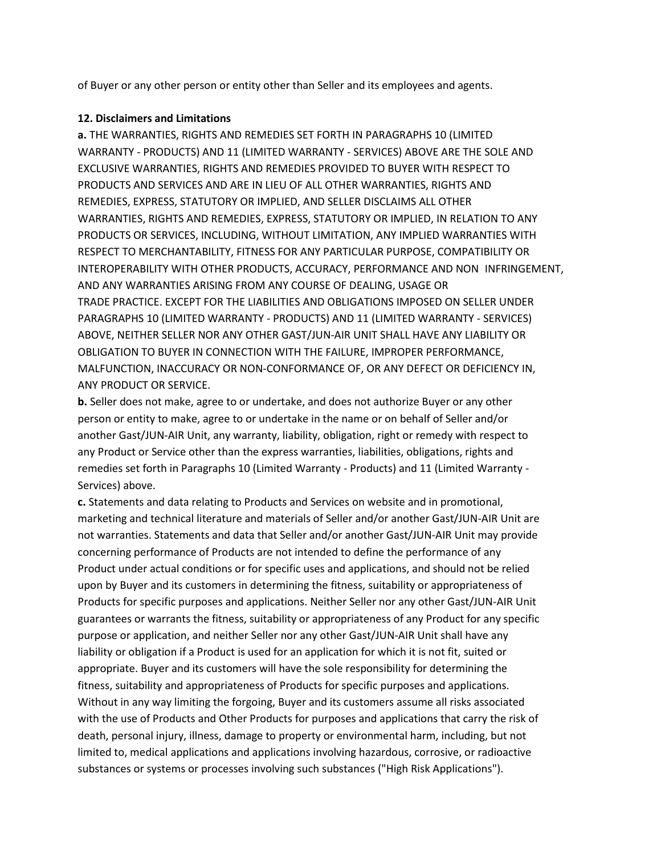of Buyer or any other person or entity other than Seller and its employees and agents.

#### **12. Disclaimers and Limitations**

**a.** THE WARRANTIES, RIGHTS AND REMEDIES SET FORTH IN PARAGRAPHS 10 (LIMITED WARRANTY - PRODUCTS) AND 11 (LIMITED WARRANTY - SERVICES) ABOVE ARE THE SOLE AND EXCLUSIVE WARRANTIES, RIGHTS AND REMEDIES PROVIDED TO BUYER WITH RESPECT TO PRODUCTS AND SERVICES AND ARE IN LIEU OF ALL OTHER WARRANTIES, RIGHTS AND REMEDIES, EXPRESS, STATUTORY OR IMPLIED, AND SELLER DISCLAIMS ALL OTHER WARRANTIES, RIGHTS AND REMEDIES, EXPRESS, STATUTORY OR IMPLIED, IN RELATION TO ANY PRODUCTS OR SERVICES, INCLUDING, WITHOUT LIMITATION, ANY IMPLIED WARRANTIES WITH RESPECT TO MERCHANTABILITY, FITNESS FOR ANY PARTICULAR PURPOSE, COMPATIBILITY OR INTEROPERABILITY WITH OTHER PRODUCTS, ACCURACY, PERFORMANCE AND NON INFRINGEMENT, AND ANY WARRANTIES ARISING FROM ANY COURSE OF DEALING, USAGE OR TRADE PRACTICE. EXCEPT FOR THE LIABILITIES AND OBLIGATIONS IMPOSED ON SELLER UNDER PARAGRAPHS 10 (LIMITED WARRANTY - PRODUCTS) AND 11 (LIMITED WARRANTY - SERVICES) ABOVE, NEITHER SELLER NOR ANY OTHER GAST/JUN-AIR UNIT SHALL HAVE ANY LIABILITY OR OBLIGATION TO BUYER IN CONNECTION WITH THE FAILURE, IMPROPER PERFORMANCE, MALFUNCTION, INACCURACY OR NON-CONFORMANCE OF, OR ANY DEFECT OR DEFICIENCY IN, ANY PRODUCT OR SERVICE.

**b.** Seller does not make, agree to or undertake, and does not authorize Buyer or any other person or entity to make, agree to or undertake in the name or on behalf of Seller and/or another Gast/JUN-AIR Unit, any warranty, liability, obligation, right or remedy with respect to any Product or Service other than the express warranties, liabilities, obligations, rights and remedies set forth in Paragraphs 10 (Limited Warranty - Products) and 11 (Limited Warranty - Services) above.

**c.** Statements and data relating to Products and Services on website and in promotional, marketing and technical literature and materials of Seller and/or another Gast/JUN-AIR Unit are not warranties. Statements and data that Seller and/or another Gast/JUN-AIR Unit may provide concerning performance of Products are not intended to define the performance of any Product under actual conditions or for specific uses and applications, and should not be relied upon by Buyer and its customers in determining the fitness, suitability or appropriateness of Products for specific purposes and applications. Neither Seller nor any other Gast/JUN-AIR Unit guarantees or warrants the fitness, suitability or appropriateness of any Product for any specific purpose or application, and neither Seller nor any other Gast/JUN-AIR Unit shall have any liability or obligation if a Product is used for an application for which it is not fit, suited or appropriate. Buyer and its customers will have the sole responsibility for determining the fitness, suitability and appropriateness of Products for specific purposes and applications. Without in any way limiting the forgoing, Buyer and its customers assume all risks associated with the use of Products and Other Products for purposes and applications that carry the risk of death, personal injury, illness, damage to property or environmental harm, including, but not limited to, medical applications and applications involving hazardous, corrosive, or radioactive substances or systems or processes involving such substances ("High Risk Applications").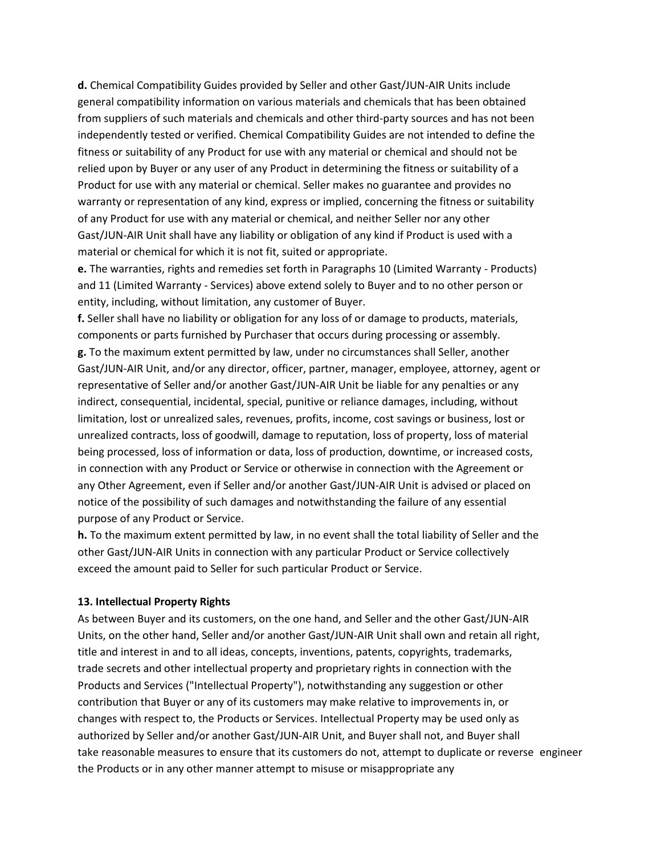**d.** Chemical Compatibility Guides provided by Seller and other Gast/JUN-AIR Units include general compatibility information on various materials and chemicals that has been obtained from suppliers of such materials and chemicals and other third-party sources and has not been independently tested or verified. Chemical Compatibility Guides are not intended to define the fitness or suitability of any Product for use with any material or chemical and should not be relied upon by Buyer or any user of any Product in determining the fitness or suitability of a Product for use with any material or chemical. Seller makes no guarantee and provides no warranty or representation of any kind, express or implied, concerning the fitness or suitability of any Product for use with any material or chemical, and neither Seller nor any other Gast/JUN-AIR Unit shall have any liability or obligation of any kind if Product is used with a material or chemical for which it is not fit, suited or appropriate.

**e.** The warranties, rights and remedies set forth in Paragraphs 10 (Limited Warranty - Products) and 11 (Limited Warranty - Services) above extend solely to Buyer and to no other person or entity, including, without limitation, any customer of Buyer.

**f.** Seller shall have no liability or obligation for any loss of or damage to products, materials, components or parts furnished by Purchaser that occurs during processing or assembly. **g.** To the maximum extent permitted by law, under no circumstances shall Seller, another Gast/JUN-AIR Unit, and/or any director, officer, partner, manager, employee, attorney, agent or representative of Seller and/or another Gast/JUN-AIR Unit be liable for any penalties or any indirect, consequential, incidental, special, punitive or reliance damages, including, without limitation, lost or unrealized sales, revenues, profits, income, cost savings or business, lost or unrealized contracts, loss of goodwill, damage to reputation, loss of property, loss of material being processed, loss of information or data, loss of production, downtime, or increased costs, in connection with any Product or Service or otherwise in connection with the Agreement or any Other Agreement, even if Seller and/or another Gast/JUN-AIR Unit is advised or placed on notice of the possibility of such damages and notwithstanding the failure of any essential purpose of any Product or Service.

**h.** To the maximum extent permitted by law, in no event shall the total liability of Seller and the other Gast/JUN-AIR Units in connection with any particular Product or Service collectively exceed the amount paid to Seller for such particular Product or Service.

#### **13. Intellectual Property Rights**

As between Buyer and its customers, on the one hand, and Seller and the other Gast/JUN-AIR Units, on the other hand, Seller and/or another Gast/JUN-AIR Unit shall own and retain all right, title and interest in and to all ideas, concepts, inventions, patents, copyrights, trademarks, trade secrets and other intellectual property and proprietary rights in connection with the Products and Services ("Intellectual Property"), notwithstanding any suggestion or other contribution that Buyer or any of its customers may make relative to improvements in, or changes with respect to, the Products or Services. Intellectual Property may be used only as authorized by Seller and/or another Gast/JUN-AIR Unit, and Buyer shall not, and Buyer shall take reasonable measures to ensure that its customers do not, attempt to duplicate or reverse engineer the Products or in any other manner attempt to misuse or misappropriate any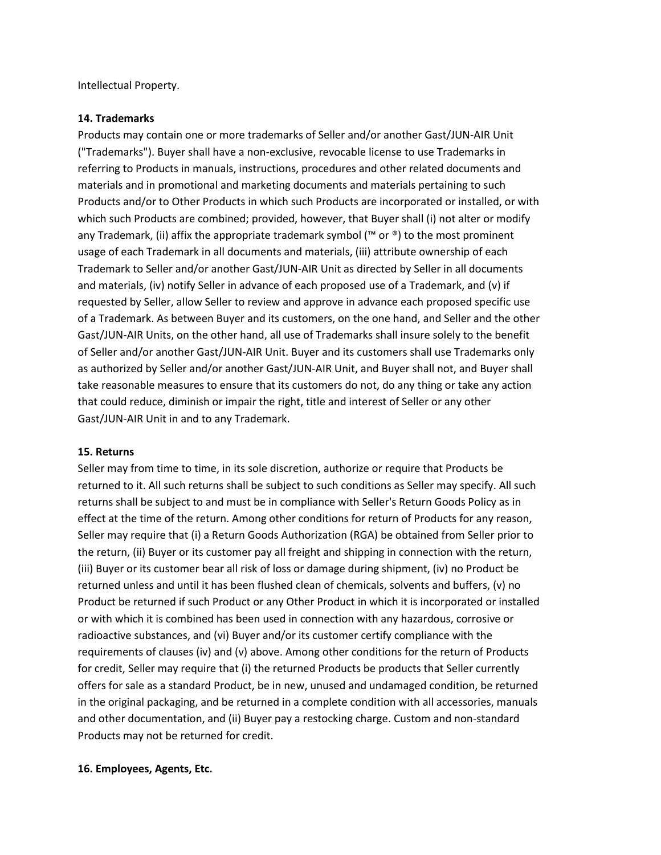Intellectual Property.

#### **14. Trademarks**

Products may contain one or more trademarks of Seller and/or another Gast/JUN-AIR Unit ("Trademarks"). Buyer shall have a non-exclusive, revocable license to use Trademarks in referring to Products in manuals, instructions, procedures and other related documents and materials and in promotional and marketing documents and materials pertaining to such Products and/or to Other Products in which such Products are incorporated or installed, or with which such Products are combined; provided, however, that Buyer shall (i) not alter or modify any Trademark, (ii) affix the appropriate trademark symbol (™ or  $\mathcal{O}(N)$ ) to the most prominent usage of each Trademark in all documents and materials, (iii) attribute ownership of each Trademark to Seller and/or another Gast/JUN-AIR Unit as directed by Seller in all documents and materials, (iv) notify Seller in advance of each proposed use of a Trademark, and (v) if requested by Seller, allow Seller to review and approve in advance each proposed specific use of a Trademark. As between Buyer and its customers, on the one hand, and Seller and the other Gast/JUN-AIR Units, on the other hand, all use of Trademarks shall insure solely to the benefit of Seller and/or another Gast/JUN-AIR Unit. Buyer and its customers shall use Trademarks only as authorized by Seller and/or another Gast/JUN-AIR Unit, and Buyer shall not, and Buyer shall take reasonable measures to ensure that its customers do not, do any thing or take any action that could reduce, diminish or impair the right, title and interest of Seller or any other Gast/JUN-AIR Unit in and to any Trademark.

#### **15. Returns**

Seller may from time to time, in its sole discretion, authorize or require that Products be returned to it. All such returns shall be subject to such conditions as Seller may specify. All such returns shall be subject to and must be in compliance with Seller's Return Goods Policy as in effect at the time of the return. Among other conditions for return of Products for any reason, Seller may require that (i) a Return Goods Authorization (RGA) be obtained from Seller prior to the return, (ii) Buyer or its customer pay all freight and shipping in connection with the return, (iii) Buyer or its customer bear all risk of loss or damage during shipment, (iv) no Product be returned unless and until it has been flushed clean of chemicals, solvents and buffers, (v) no Product be returned if such Product or any Other Product in which it is incorporated or installed or with which it is combined has been used in connection with any hazardous, corrosive or radioactive substances, and (vi) Buyer and/or its customer certify compliance with the requirements of clauses (iv) and (v) above. Among other conditions for the return of Products for credit, Seller may require that (i) the returned Products be products that Seller currently offers for sale as a standard Product, be in new, unused and undamaged condition, be returned in the original packaging, and be returned in a complete condition with all accessories, manuals and other documentation, and (ii) Buyer pay a restocking charge. Custom and non-standard Products may not be returned for credit.

# **16. Employees, Agents, Etc.**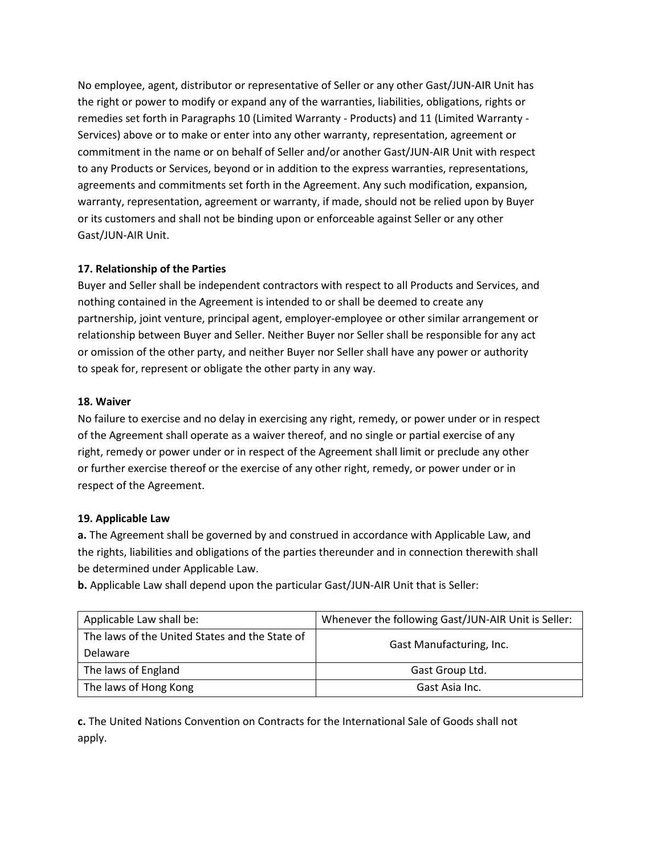No employee, agent, distributor or representative of Seller or any other Gast/JUN-AIR Unit has the right or power to modify or expand any of the warranties, liabilities, obligations, rights or remedies set forth in Paragraphs 10 (Limited Warranty - Products) and 11 (Limited Warranty - Services) above or to make or enter into any other warranty, representation, agreement or commitment in the name or on behalf of Seller and/or another Gast/JUN-AIR Unit with respect to any Products or Services, beyond or in addition to the express warranties, representations, agreements and commitments set forth in the Agreement. Any such modification, expansion, warranty, representation, agreement or warranty, if made, should not be relied upon by Buyer or its customers and shall not be binding upon or enforceable against Seller or any other Gast/JUN-AIR Unit.

# **17. Relationship of the Parties**

Buyer and Seller shall be independent contractors with respect to all Products and Services, and nothing contained in the Agreement is intended to or shall be deemed to create any partnership, joint venture, principal agent, employer-employee or other similar arrangement or relationship between Buyer and Seller. Neither Buyer nor Seller shall be responsible for any act or omission of the other party, and neither Buyer nor Seller shall have any power or authority to speak for, represent or obligate the other party in any way.

# **18. Waiver**

No failure to exercise and no delay in exercising any right, remedy, or power under or in respect of the Agreement shall operate as a waiver thereof, and no single or partial exercise of any right, remedy or power under or in respect of the Agreement shall limit or preclude any other or further exercise thereof or the exercise of any other right, remedy, or power under or in respect of the Agreement.

# **19. Applicable Law**

**a.** The Agreement shall be governed by and construed in accordance with Applicable Law, and the rights, liabilities and obligations of the parties thereunder and in connection therewith shall be determined under Applicable Law.

**b.** Applicable Law shall depend upon the particular Gast/JUN-AIR Unit that is Seller:

| Applicable Law shall be:                       | Whenever the following Gast/JUN-AIR Unit is Seller: |
|------------------------------------------------|-----------------------------------------------------|
| The laws of the United States and the State of | Gast Manufacturing, Inc.                            |
| Delaware                                       |                                                     |
| The laws of England                            | Gast Group Ltd.                                     |
| The laws of Hong Kong                          | Gast Asia Inc.                                      |

**c.** The United Nations Convention on Contracts for the International Sale of Goods shall not apply.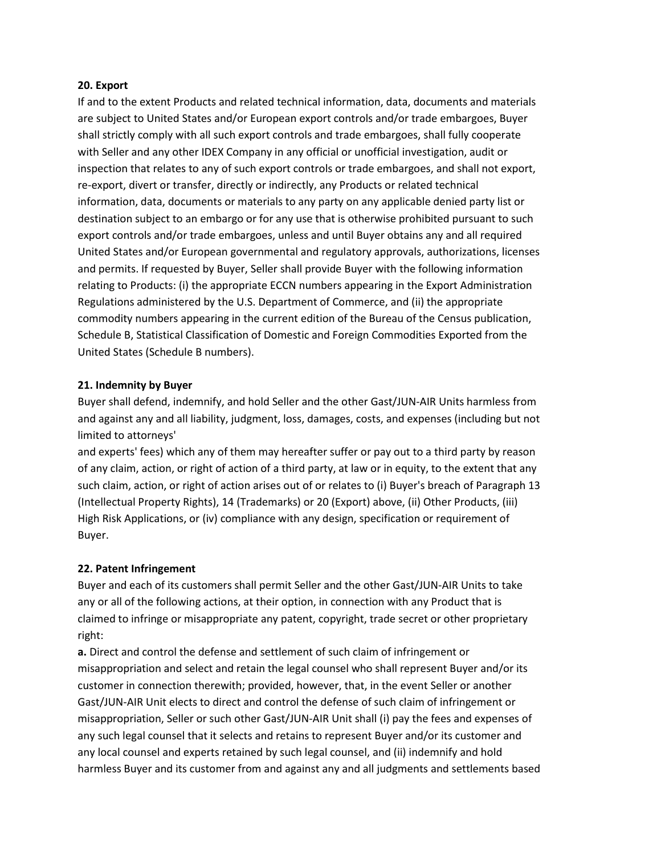#### **20. Export**

If and to the extent Products and related technical information, data, documents and materials are subject to United States and/or European export controls and/or trade embargoes, Buyer shall strictly comply with all such export controls and trade embargoes, shall fully cooperate with Seller and any other IDEX Company in any official or unofficial investigation, audit or inspection that relates to any of such export controls or trade embargoes, and shall not export, re-export, divert or transfer, directly or indirectly, any Products or related technical information, data, documents or materials to any party on any applicable denied party list or destination subject to an embargo or for any use that is otherwise prohibited pursuant to such export controls and/or trade embargoes, unless and until Buyer obtains any and all required United States and/or European governmental and regulatory approvals, authorizations, licenses and permits. If requested by Buyer, Seller shall provide Buyer with the following information relating to Products: (i) the appropriate ECCN numbers appearing in the Export Administration Regulations administered by the U.S. Department of Commerce, and (ii) the appropriate commodity numbers appearing in the current edition of the Bureau of the Census publication, Schedule B, Statistical Classification of Domestic and Foreign Commodities Exported from the United States (Schedule B numbers).

#### **21. Indemnity by Buyer**

Buyer shall defend, indemnify, and hold Seller and the other Gast/JUN-AIR Units harmless from and against any and all liability, judgment, loss, damages, costs, and expenses (including but not limited to attorneys'

and experts' fees) which any of them may hereafter suffer or pay out to a third party by reason of any claim, action, or right of action of a third party, at law or in equity, to the extent that any such claim, action, or right of action arises out of or relates to (i) Buyer's breach of Paragraph 13 (Intellectual Property Rights), 14 (Trademarks) or 20 (Export) above, (ii) Other Products, (iii) High Risk Applications, or (iv) compliance with any design, specification or requirement of Buyer.

# **22. Patent Infringement**

Buyer and each of its customers shall permit Seller and the other Gast/JUN-AIR Units to take any or all of the following actions, at their option, in connection with any Product that is claimed to infringe or misappropriate any patent, copyright, trade secret or other proprietary right:

**a.** Direct and control the defense and settlement of such claim of infringement or misappropriation and select and retain the legal counsel who shall represent Buyer and/or its customer in connection therewith; provided, however, that, in the event Seller or another Gast/JUN-AIR Unit elects to direct and control the defense of such claim of infringement or misappropriation, Seller or such other Gast/JUN-AIR Unit shall (i) pay the fees and expenses of any such legal counsel that it selects and retains to represent Buyer and/or its customer and any local counsel and experts retained by such legal counsel, and (ii) indemnify and hold harmless Buyer and its customer from and against any and all judgments and settlements based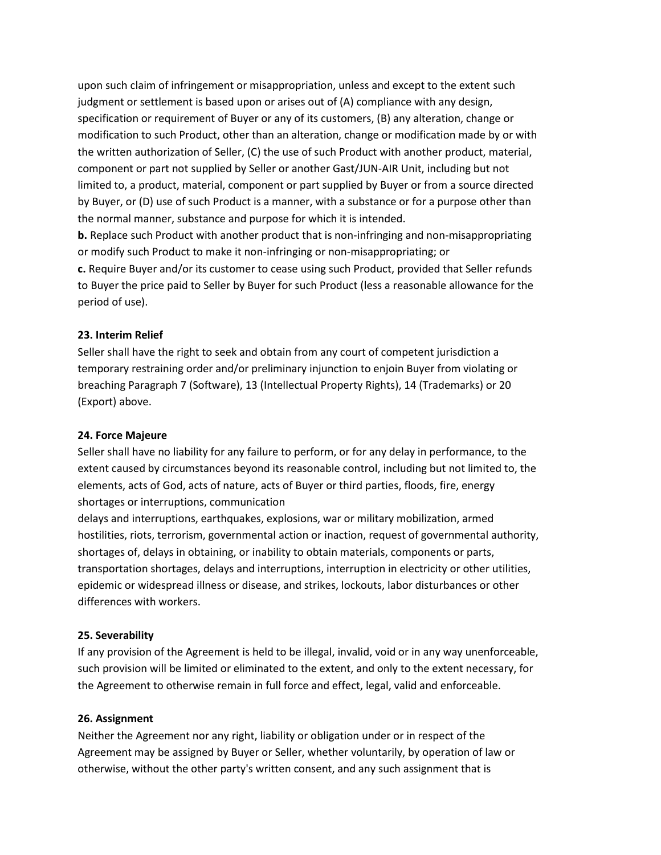upon such claim of infringement or misappropriation, unless and except to the extent such judgment or settlement is based upon or arises out of (A) compliance with any design, specification or requirement of Buyer or any of its customers, (B) any alteration, change or modification to such Product, other than an alteration, change or modification made by or with the written authorization of Seller, (C) the use of such Product with another product, material, component or part not supplied by Seller or another Gast/JUN-AIR Unit, including but not limited to, a product, material, component or part supplied by Buyer or from a source directed by Buyer, or (D) use of such Product is a manner, with a substance or for a purpose other than the normal manner, substance and purpose for which it is intended.

**b.** Replace such Product with another product that is non-infringing and non-misappropriating or modify such Product to make it non-infringing or non-misappropriating; or

**c.** Require Buyer and/or its customer to cease using such Product, provided that Seller refunds to Buyer the price paid to Seller by Buyer for such Product (less a reasonable allowance for the period of use).

#### **23. Interim Relief**

Seller shall have the right to seek and obtain from any court of competent jurisdiction a temporary restraining order and/or preliminary injunction to enjoin Buyer from violating or breaching Paragraph 7 (Software), 13 (Intellectual Property Rights), 14 (Trademarks) or 20 (Export) above.

#### **24. Force Majeure**

Seller shall have no liability for any failure to perform, or for any delay in performance, to the extent caused by circumstances beyond its reasonable control, including but not limited to, the elements, acts of God, acts of nature, acts of Buyer or third parties, floods, fire, energy shortages or interruptions, communication

delays and interruptions, earthquakes, explosions, war or military mobilization, armed hostilities, riots, terrorism, governmental action or inaction, request of governmental authority, shortages of, delays in obtaining, or inability to obtain materials, components or parts, transportation shortages, delays and interruptions, interruption in electricity or other utilities, epidemic or widespread illness or disease, and strikes, lockouts, labor disturbances or other differences with workers.

# **25. Severability**

If any provision of the Agreement is held to be illegal, invalid, void or in any way unenforceable, such provision will be limited or eliminated to the extent, and only to the extent necessary, for the Agreement to otherwise remain in full force and effect, legal, valid and enforceable.

# **26. Assignment**

Neither the Agreement nor any right, liability or obligation under or in respect of the Agreement may be assigned by Buyer or Seller, whether voluntarily, by operation of law or otherwise, without the other party's written consent, and any such assignment that is